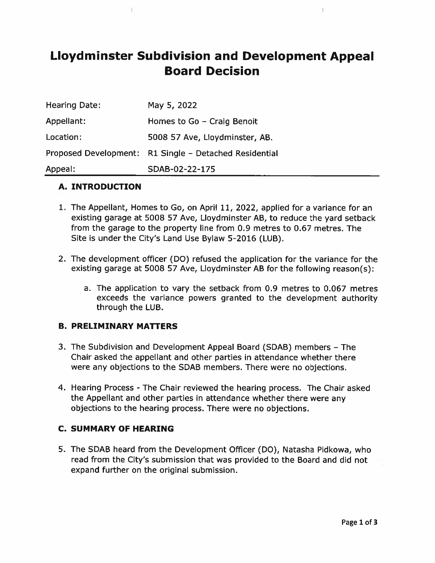# Lloydminster Subdivision and Development Appeal Board Decision

I.

| <b>Hearing Date:</b> | May 5, 2022                                            |
|----------------------|--------------------------------------------------------|
| Appellant:           | Homes to Go - Craig Benoit                             |
| Location:            | 5008 57 Ave, Lloydminster, AB.                         |
|                      | Proposed Development: R1 Single - Detached Residential |
| Appeal:              | SDAB-02-22-175                                         |

#### A. INTRODUCTION

- 1. The Appellant, Homes to Go, on April 11, 2022, applied for <sup>a</sup> variance for an existing garage at 5008 57 Aye, Lloydminster AB, to reduce the yard setback from the garage to the property line from 0.9 metres to 0.67 metres. The Site is under the City's Land Use Bylaw 5-2016 (LUB).
- 2. The development officer (DO) refused the application for the variance for the existing garage at 5008 57 Aye, Lloydminster AB for the following reason(s);
	- a. The application to vary the setback from 0.9 metres to 0.067 metres exceeds the variance powers granted to the development authority through the LUB.

#### B. PRELIMINARY MATTERS

- 3. The Subdivision and Development Appeal Board (SDAB) members The Chair asked the appellant and other parties in attendance whether there were any objections to the SDAB members. There were no objections.
- 4. Hearing Process -The Chair reviewed the hearing process. The Chair asked the Appellant and other parties in attendance whether there were any objections to the hearing process. There were no objections.

#### C. SUMMARY OF HEARING

5. The SDAB heard from the Development Officer (DO), Natasha Pidkowa, who read from the City's submission that was provided to the Board and did not expand further on the original submission.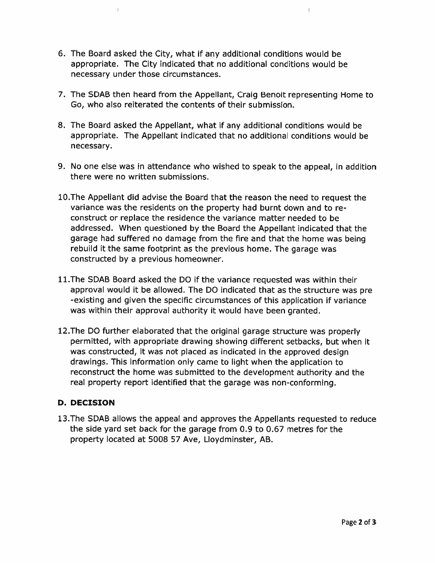6. The Board asked the City, what if any additional conditions would be appropriate. The City indicated that no additional conditions would be necessary under those circumstances.

ı)

7. The SDAB then heard from the Appellant, Craig Benoit representing Home to Go, who also reiterated the contents of their submission.

 $\left\langle \cdot \right\rangle$ 

- 8. The Board asked the Appellant, what if any additional conditions would be appropriate. The Appellant indicated that no additional conditions would be necessary.
- 9. No one else was in attendance who wished to speak to the appeal, in addition there were no written submissions.
- 1O.The Appellant did advise the Board that the reason the need to reques<sup>t</sup> the variance was the residents on the property had burnt down and to re construct or replace the residence the variance matter needed to be addressed. When questioned by the Board the Appellant indicated that the garage had suffered no damage from the fire and that the home was being rebuild it the same footprint as the previous home. The garage was constructed by <sup>a</sup> previous homeowner.
- 11.The SDAB Board asked the DO if the variance requested was within their approval would it be allowed. The DO indicated that as the structure was pre -existing and given the specific circumstances of this application if variance was within their approva<sup>l</sup> authority it would have been granted.
- 12.The DO further elaborated that the original garage structure was properly permitted, with appropriate drawing showing different setbacks, but when it was constructed, it was not <sup>p</sup>laced as indicated in the approved design drawings. This information only came to light when the application to reconstruct the home was submitted to the development authority and the real property repor<sup>t</sup> identified that the garage was non-conforming.

## D. DECISION

13.The SDAB allows the appeal and approves the Appellants requested to reduce the side yard set back for the garage from 0.9 to 0.67 metres for the property located at 5008 57 Aye, Lloydminster, AS.